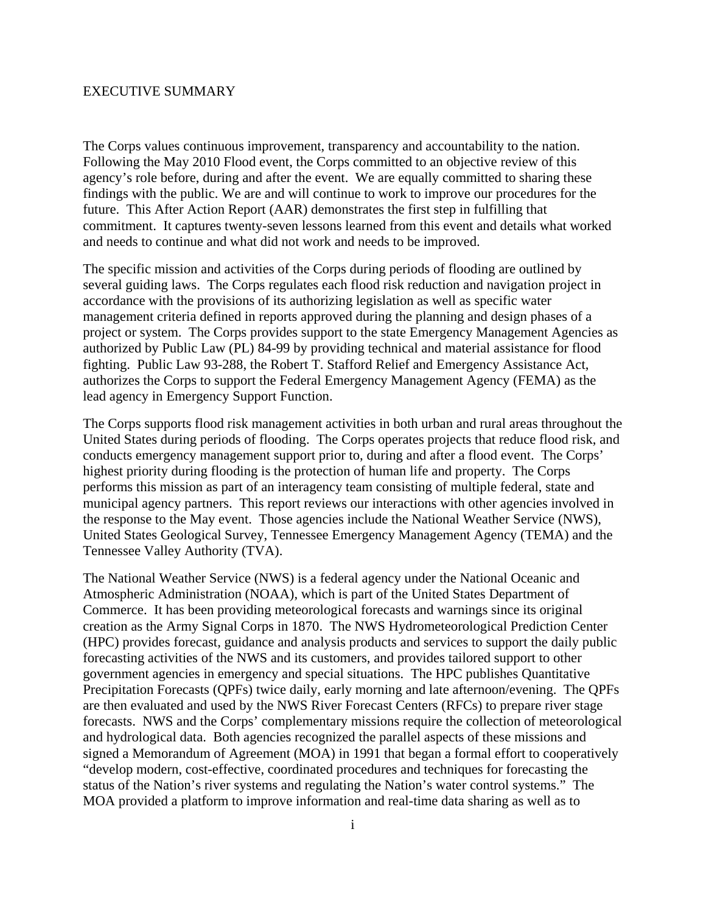## EXECUTIVE SUMMARY

The Corps values continuous improvement, transparency and accountability to the nation. Following the May 2010 Flood event, the Corps committed to an objective review of this agency's role before, during and after the event. We are equally committed to sharing these findings with the public. We are and will continue to work to improve our procedures for the future. This After Action Report (AAR) demonstrates the first step in fulfilling that commitment. It captures twenty-seven lessons learned from this event and details what worked and needs to continue and what did not work and needs to be improved.

The specific mission and activities of the Corps during periods of flooding are outlined by several guiding laws. The Corps regulates each flood risk reduction and navigation project in accordance with the provisions of its authorizing legislation as well as specific water management criteria defined in reports approved during the planning and design phases of a project or system. The Corps provides support to the state Emergency Management Agencies as authorized by Public Law (PL) 84-99 by providing technical and material assistance for flood fighting. Public Law 93-288, the Robert T. Stafford Relief and Emergency Assistance Act, authorizes the Corps to support the Federal Emergency Management Agency (FEMA) as the lead agency in Emergency Support Function.

The Corps supports flood risk management activities in both urban and rural areas throughout the United States during periods of flooding. The Corps operates projects that reduce flood risk, and conducts emergency management support prior to, during and after a flood event. The Corps' highest priority during flooding is the protection of human life and property. The Corps performs this mission as part of an interagency team consisting of multiple federal, state and municipal agency partners. This report reviews our interactions with other agencies involved in the response to the May event. Those agencies include the National Weather Service (NWS), United States Geological Survey, Tennessee Emergency Management Agency (TEMA) and the Tennessee Valley Authority (TVA).

The National Weather Service (NWS) is a federal agency under the National Oceanic and Atmospheric Administration (NOAA), which is part of the United States Department of Commerce. It has been providing meteorological forecasts and warnings since its original creation as the Army Signal Corps in 1870. The NWS Hydrometeorological Prediction Center (HPC) provides forecast, guidance and analysis products and services to support the daily public forecasting activities of the NWS and its customers, and provides tailored support to other government agencies in emergency and special situations. The HPC publishes Quantitative Precipitation Forecasts (QPFs) twice daily, early morning and late afternoon/evening. The QPFs are then evaluated and used by the NWS River Forecast Centers (RFCs) to prepare river stage forecasts. NWS and the Corps' complementary missions require the collection of meteorological and hydrological data. Both agencies recognized the parallel aspects of these missions and signed a Memorandum of Agreement (MOA) in 1991 that began a formal effort to cooperatively "develop modern, cost-effective, coordinated procedures and techniques for forecasting the status of the Nation's river systems and regulating the Nation's water control systems." The MOA provided a platform to improve information and real-time data sharing as well as to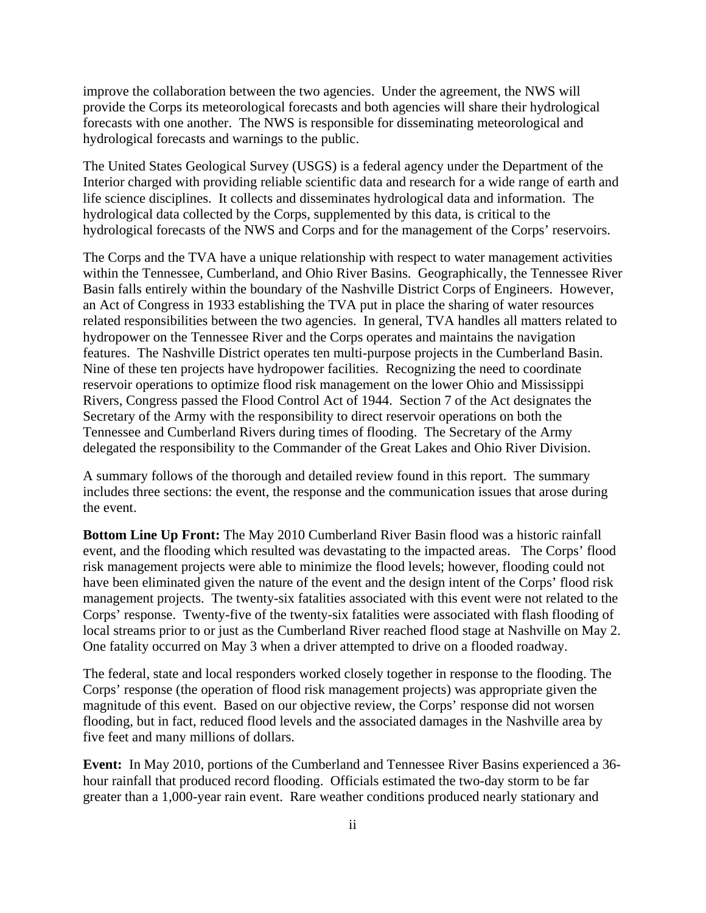improve the collaboration between the two agencies. Under the agreement, the NWS will provide the Corps its meteorological forecasts and both agencies will share their hydrological forecasts with one another. The NWS is responsible for disseminating meteorological and hydrological forecasts and warnings to the public.

The United States Geological Survey (USGS) is a federal agency under the Department of the Interior charged with providing reliable scientific data and research for a wide range of earth and life science disciplines. It collects and disseminates hydrological data and information. The hydrological data collected by the Corps, supplemented by this data, is critical to the hydrological forecasts of the NWS and Corps and for the management of the Corps' reservoirs.

The Corps and the TVA have a unique relationship with respect to water management activities within the Tennessee, Cumberland, and Ohio River Basins. Geographically, the Tennessee River Basin falls entirely within the boundary of the Nashville District Corps of Engineers. However, an Act of Congress in 1933 establishing the TVA put in place the sharing of water resources related responsibilities between the two agencies. In general, TVA handles all matters related to hydropower on the Tennessee River and the Corps operates and maintains the navigation features. The Nashville District operates ten multi-purpose projects in the Cumberland Basin. Nine of these ten projects have hydropower facilities. Recognizing the need to coordinate reservoir operations to optimize flood risk management on the lower Ohio and Mississippi Rivers, Congress passed the Flood Control Act of 1944. Section 7 of the Act designates the Secretary of the Army with the responsibility to direct reservoir operations on both the Tennessee and Cumberland Rivers during times of flooding. The Secretary of the Army delegated the responsibility to the Commander of the Great Lakes and Ohio River Division.

A summary follows of the thorough and detailed review found in this report. The summary includes three sections: the event, the response and the communication issues that arose during the event.

**Bottom Line Up Front:** The May 2010 Cumberland River Basin flood was a historic rainfall event, and the flooding which resulted was devastating to the impacted areas. The Corps' flood risk management projects were able to minimize the flood levels; however, flooding could not have been eliminated given the nature of the event and the design intent of the Corps' flood risk management projects. The twenty-six fatalities associated with this event were not related to the Corps' response. Twenty-five of the twenty-six fatalities were associated with flash flooding of local streams prior to or just as the Cumberland River reached flood stage at Nashville on May 2. One fatality occurred on May 3 when a driver attempted to drive on a flooded roadway.

The federal, state and local responders worked closely together in response to the flooding. The Corps' response (the operation of flood risk management projects) was appropriate given the magnitude of this event. Based on our objective review, the Corps' response did not worsen flooding, but in fact, reduced flood levels and the associated damages in the Nashville area by five feet and many millions of dollars.

**Event:** In May 2010, portions of the Cumberland and Tennessee River Basins experienced a 36 hour rainfall that produced record flooding. Officials estimated the two-day storm to be far greater than a 1,000-year rain event. Rare weather conditions produced nearly stationary and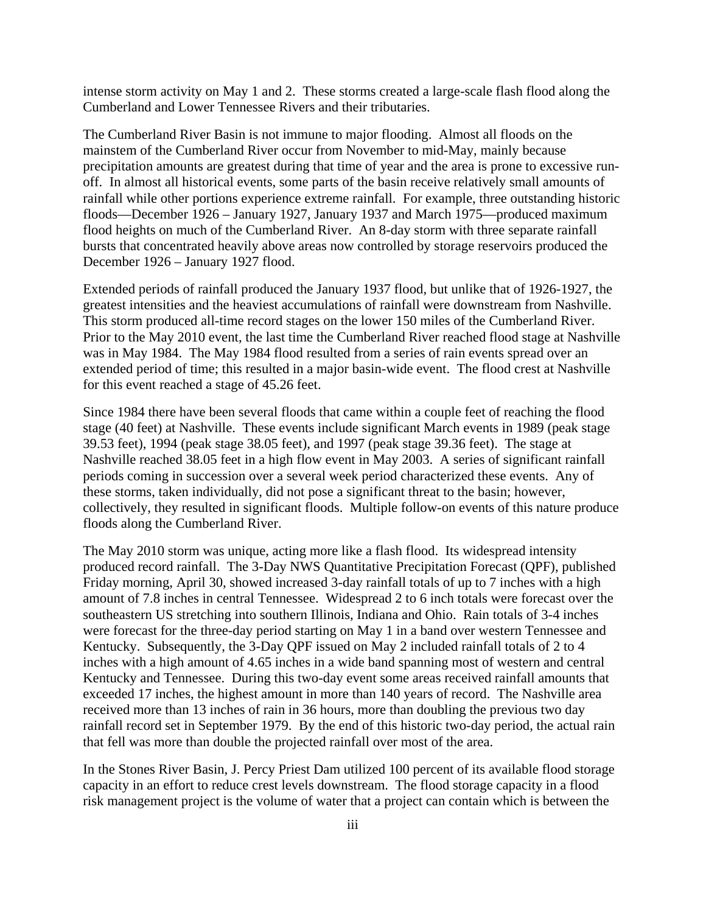intense storm activity on May 1 and 2. These storms created a large-scale flash flood along the Cumberland and Lower Tennessee Rivers and their tributaries.

The Cumberland River Basin is not immune to major flooding. Almost all floods on the mainstem of the Cumberland River occur from November to mid-May, mainly because precipitation amounts are greatest during that time of year and the area is prone to excessive runoff. In almost all historical events, some parts of the basin receive relatively small amounts of rainfall while other portions experience extreme rainfall. For example, three outstanding historic floods—December 1926 – January 1927, January 1937 and March 1975—produced maximum flood heights on much of the Cumberland River. An 8-day storm with three separate rainfall bursts that concentrated heavily above areas now controlled by storage reservoirs produced the December 1926 – January 1927 flood.

Extended periods of rainfall produced the January 1937 flood, but unlike that of 1926-1927, the greatest intensities and the heaviest accumulations of rainfall were downstream from Nashville. This storm produced all-time record stages on the lower 150 miles of the Cumberland River. Prior to the May 2010 event, the last time the Cumberland River reached flood stage at Nashville was in May 1984. The May 1984 flood resulted from a series of rain events spread over an extended period of time; this resulted in a major basin-wide event. The flood crest at Nashville for this event reached a stage of 45.26 feet.

Since 1984 there have been several floods that came within a couple feet of reaching the flood stage (40 feet) at Nashville. These events include significant March events in 1989 (peak stage 39.53 feet), 1994 (peak stage 38.05 feet), and 1997 (peak stage 39.36 feet). The stage at Nashville reached 38.05 feet in a high flow event in May 2003. A series of significant rainfall periods coming in succession over a several week period characterized these events. Any of these storms, taken individually, did not pose a significant threat to the basin; however, collectively, they resulted in significant floods. Multiple follow-on events of this nature produce floods along the Cumberland River.

The May 2010 storm was unique, acting more like a flash flood. Its widespread intensity produced record rainfall. The 3-Day NWS Quantitative Precipitation Forecast (QPF), published Friday morning, April 30, showed increased 3-day rainfall totals of up to 7 inches with a high amount of 7.8 inches in central Tennessee. Widespread 2 to 6 inch totals were forecast over the southeastern US stretching into southern Illinois, Indiana and Ohio. Rain totals of 3-4 inches were forecast for the three-day period starting on May 1 in a band over western Tennessee and Kentucky. Subsequently, the 3-Day QPF issued on May 2 included rainfall totals of 2 to 4 inches with a high amount of 4.65 inches in a wide band spanning most of western and central Kentucky and Tennessee. During this two-day event some areas received rainfall amounts that exceeded 17 inches, the highest amount in more than 140 years of record. The Nashville area received more than 13 inches of rain in 36 hours, more than doubling the previous two day rainfall record set in September 1979. By the end of this historic two-day period, the actual rain that fell was more than double the projected rainfall over most of the area.

In the Stones River Basin, J. Percy Priest Dam utilized 100 percent of its available flood storage capacity in an effort to reduce crest levels downstream. The flood storage capacity in a flood risk management project is the volume of water that a project can contain which is between the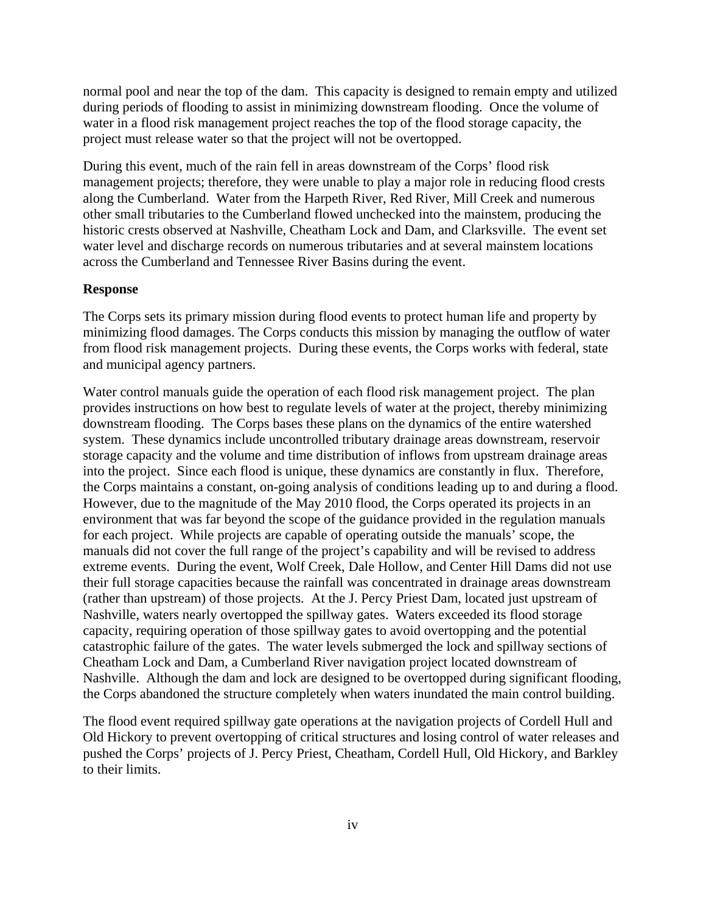normal pool and near the top of the dam. This capacity is designed to remain empty and utilized during periods of flooding to assist in minimizing downstream flooding. Once the volume of water in a flood risk management project reaches the top of the flood storage capacity, the project must release water so that the project will not be overtopped.

During this event, much of the rain fell in areas downstream of the Corps' flood risk management projects; therefore, they were unable to play a major role in reducing flood crests along the Cumberland. Water from the Harpeth River, Red River, Mill Creek and numerous other small tributaries to the Cumberland flowed unchecked into the mainstem, producing the historic crests observed at Nashville, Cheatham Lock and Dam, and Clarksville. The event set water level and discharge records on numerous tributaries and at several mainstem locations across the Cumberland and Tennessee River Basins during the event.

## **Response**

The Corps sets its primary mission during flood events to protect human life and property by minimizing flood damages. The Corps conducts this mission by managing the outflow of water from flood risk management projects. During these events, the Corps works with federal, state and municipal agency partners.

Water control manuals guide the operation of each flood risk management project. The plan provides instructions on how best to regulate levels of water at the project, thereby minimizing downstream flooding. The Corps bases these plans on the dynamics of the entire watershed system. These dynamics include uncontrolled tributary drainage areas downstream, reservoir storage capacity and the volume and time distribution of inflows from upstream drainage areas into the project. Since each flood is unique, these dynamics are constantly in flux. Therefore, the Corps maintains a constant, on-going analysis of conditions leading up to and during a flood. However, due to the magnitude of the May 2010 flood, the Corps operated its projects in an environment that was far beyond the scope of the guidance provided in the regulation manuals for each project. While projects are capable of operating outside the manuals' scope, the manuals did not cover the full range of the project's capability and will be revised to address extreme events. During the event, Wolf Creek, Dale Hollow, and Center Hill Dams did not use their full storage capacities because the rainfall was concentrated in drainage areas downstream (rather than upstream) of those projects. At the J. Percy Priest Dam, located just upstream of Nashville, waters nearly overtopped the spillway gates. Waters exceeded its flood storage capacity, requiring operation of those spillway gates to avoid overtopping and the potential catastrophic failure of the gates. The water levels submerged the lock and spillway sections of Cheatham Lock and Dam, a Cumberland River navigation project located downstream of Nashville. Although the dam and lock are designed to be overtopped during significant flooding, the Corps abandoned the structure completely when waters inundated the main control building.

The flood event required spillway gate operations at the navigation projects of Cordell Hull and Old Hickory to prevent overtopping of critical structures and losing control of water releases and pushed the Corps' projects of J. Percy Priest, Cheatham, Cordell Hull, Old Hickory, and Barkley to their limits.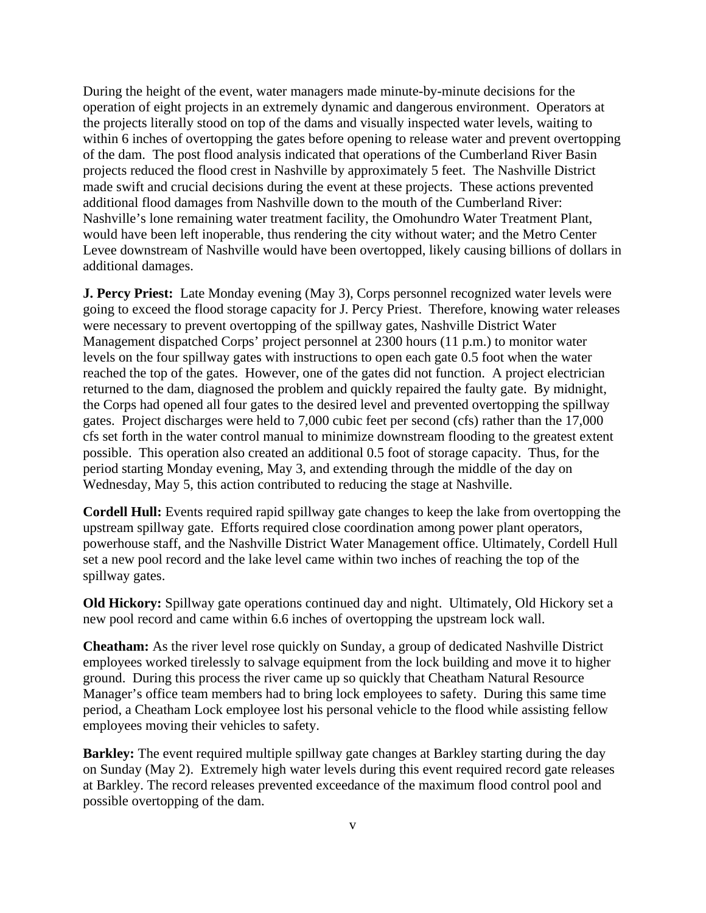During the height of the event, water managers made minute-by-minute decisions for the operation of eight projects in an extremely dynamic and dangerous environment. Operators at the projects literally stood on top of the dams and visually inspected water levels, waiting to within 6 inches of overtopping the gates before opening to release water and prevent overtopping of the dam. The post flood analysis indicated that operations of the Cumberland River Basin projects reduced the flood crest in Nashville by approximately 5 feet. The Nashville District made swift and crucial decisions during the event at these projects. These actions prevented additional flood damages from Nashville down to the mouth of the Cumberland River: Nashville's lone remaining water treatment facility, the Omohundro Water Treatment Plant, would have been left inoperable, thus rendering the city without water; and the Metro Center Levee downstream of Nashville would have been overtopped, likely causing billions of dollars in additional damages.

**J. Percy Priest:** Late Monday evening (May 3), Corps personnel recognized water levels were going to exceed the flood storage capacity for J. Percy Priest. Therefore, knowing water releases were necessary to prevent overtopping of the spillway gates, Nashville District Water Management dispatched Corps' project personnel at 2300 hours (11 p.m.) to monitor water levels on the four spillway gates with instructions to open each gate 0.5 foot when the water reached the top of the gates. However, one of the gates did not function. A project electrician returned to the dam, diagnosed the problem and quickly repaired the faulty gate. By midnight, the Corps had opened all four gates to the desired level and prevented overtopping the spillway gates. Project discharges were held to 7,000 cubic feet per second (cfs) rather than the 17,000 cfs set forth in the water control manual to minimize downstream flooding to the greatest extent possible. This operation also created an additional 0.5 foot of storage capacity. Thus, for the period starting Monday evening, May 3, and extending through the middle of the day on Wednesday, May 5, this action contributed to reducing the stage at Nashville.

**Cordell Hull:** Events required rapid spillway gate changes to keep the lake from overtopping the upstream spillway gate. Efforts required close coordination among power plant operators, powerhouse staff, and the Nashville District Water Management office. Ultimately, Cordell Hull set a new pool record and the lake level came within two inches of reaching the top of the spillway gates.

**Old Hickory:** Spillway gate operations continued day and night. Ultimately, Old Hickory set a new pool record and came within 6.6 inches of overtopping the upstream lock wall.

**Cheatham:** As the river level rose quickly on Sunday, a group of dedicated Nashville District employees worked tirelessly to salvage equipment from the lock building and move it to higher ground. During this process the river came up so quickly that Cheatham Natural Resource Manager's office team members had to bring lock employees to safety. During this same time period, a Cheatham Lock employee lost his personal vehicle to the flood while assisting fellow employees moving their vehicles to safety.

**Barkley:** The event required multiple spillway gate changes at Barkley starting during the day on Sunday (May 2). Extremely high water levels during this event required record gate releases at Barkley. The record releases prevented exceedance of the maximum flood control pool and possible overtopping of the dam.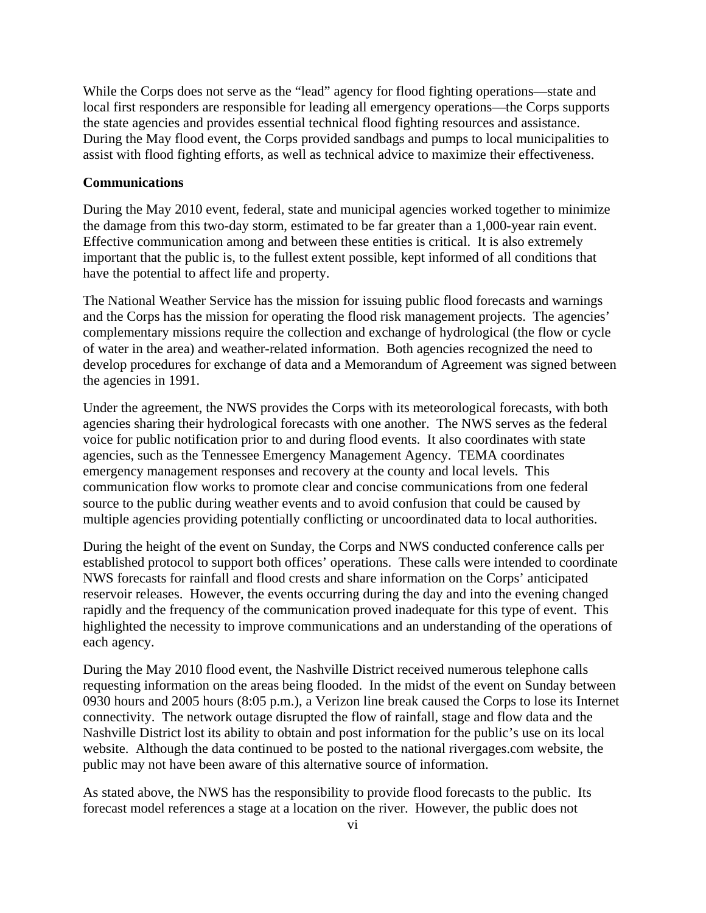While the Corps does not serve as the "lead" agency for flood fighting operations—state and local first responders are responsible for leading all emergency operations—the Corps supports the state agencies and provides essential technical flood fighting resources and assistance. During the May flood event, the Corps provided sandbags and pumps to local municipalities to assist with flood fighting efforts, as well as technical advice to maximize their effectiveness.

## **Communications**

During the May 2010 event, federal, state and municipal agencies worked together to minimize the damage from this two-day storm, estimated to be far greater than a 1,000-year rain event. Effective communication among and between these entities is critical. It is also extremely important that the public is, to the fullest extent possible, kept informed of all conditions that have the potential to affect life and property.

The National Weather Service has the mission for issuing public flood forecasts and warnings and the Corps has the mission for operating the flood risk management projects. The agencies' complementary missions require the collection and exchange of hydrological (the flow or cycle of water in the area) and weather-related information. Both agencies recognized the need to develop procedures for exchange of data and a Memorandum of Agreement was signed between the agencies in 1991.

Under the agreement, the NWS provides the Corps with its meteorological forecasts, with both agencies sharing their hydrological forecasts with one another. The NWS serves as the federal voice for public notification prior to and during flood events. It also coordinates with state agencies, such as the Tennessee Emergency Management Agency. TEMA coordinates emergency management responses and recovery at the county and local levels. This communication flow works to promote clear and concise communications from one federal source to the public during weather events and to avoid confusion that could be caused by multiple agencies providing potentially conflicting or uncoordinated data to local authorities.

During the height of the event on Sunday, the Corps and NWS conducted conference calls per established protocol to support both offices' operations. These calls were intended to coordinate NWS forecasts for rainfall and flood crests and share information on the Corps' anticipated reservoir releases. However, the events occurring during the day and into the evening changed rapidly and the frequency of the communication proved inadequate for this type of event. This highlighted the necessity to improve communications and an understanding of the operations of each agency.

During the May 2010 flood event, the Nashville District received numerous telephone calls requesting information on the areas being flooded. In the midst of the event on Sunday between 0930 hours and 2005 hours (8:05 p.m.), a Verizon line break caused the Corps to lose its Internet connectivity. The network outage disrupted the flow of rainfall, stage and flow data and the Nashville District lost its ability to obtain and post information for the public's use on its local website. Although the data continued to be posted to the national rivergages.com website, the public may not have been aware of this alternative source of information.

As stated above, the NWS has the responsibility to provide flood forecasts to the public. Its forecast model references a stage at a location on the river. However, the public does not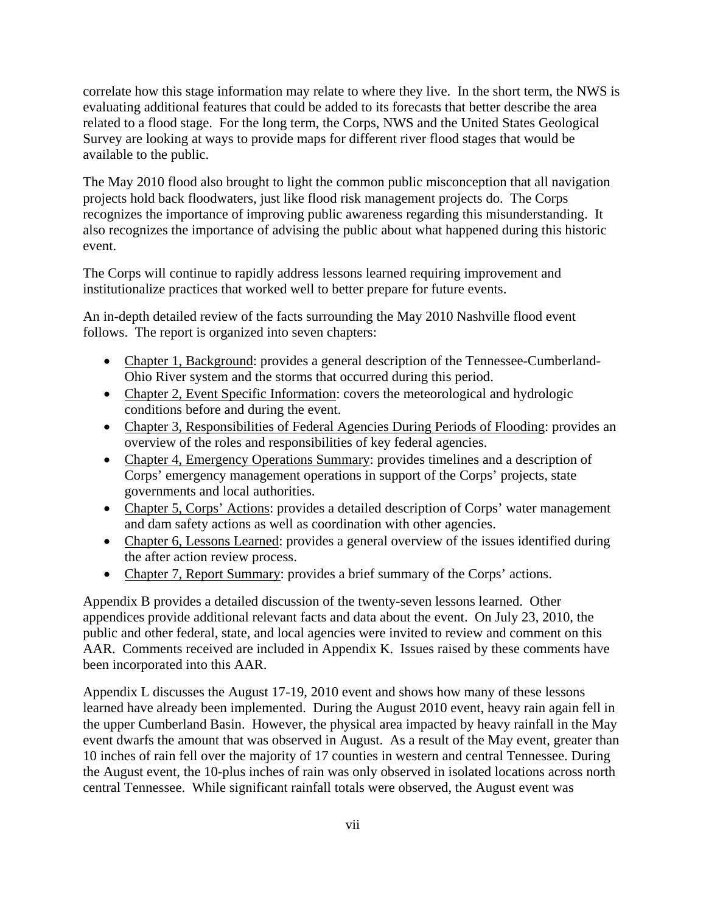correlate how this stage information may relate to where they live. In the short term, the NWS is evaluating additional features that could be added to its forecasts that better describe the area related to a flood stage. For the long term, the Corps, NWS and the United States Geological Survey are looking at ways to provide maps for different river flood stages that would be available to the public.

The May 2010 flood also brought to light the common public misconception that all navigation projects hold back floodwaters, just like flood risk management projects do. The Corps recognizes the importance of improving public awareness regarding this misunderstanding. It also recognizes the importance of advising the public about what happened during this historic event.

The Corps will continue to rapidly address lessons learned requiring improvement and institutionalize practices that worked well to better prepare for future events.

An in-depth detailed review of the facts surrounding the May 2010 Nashville flood event follows. The report is organized into seven chapters:

- Chapter 1, Background: provides a general description of the Tennessee-Cumberland-Ohio River system and the storms that occurred during this period.
- Chapter 2, Event Specific Information: covers the meteorological and hydrologic conditions before and during the event.
- Chapter 3, Responsibilities of Federal Agencies During Periods of Flooding: provides an overview of the roles and responsibilities of key federal agencies.
- Chapter 4, Emergency Operations Summary: provides timelines and a description of Corps' emergency management operations in support of the Corps' projects, state governments and local authorities.
- Chapter 5, Corps' Actions: provides a detailed description of Corps' water management and dam safety actions as well as coordination with other agencies.
- Chapter 6, Lessons Learned: provides a general overview of the issues identified during the after action review process.
- Chapter 7, Report Summary: provides a brief summary of the Corps' actions.

Appendix B provides a detailed discussion of the twenty-seven lessons learned. Other appendices provide additional relevant facts and data about the event. On July 23, 2010, the public and other federal, state, and local agencies were invited to review and comment on this AAR. Comments received are included in Appendix K. Issues raised by these comments have been incorporated into this AAR.

Appendix L discusses the August 17-19, 2010 event and shows how many of these lessons learned have already been implemented. During the August 2010 event, heavy rain again fell in the upper Cumberland Basin. However, the physical area impacted by heavy rainfall in the May event dwarfs the amount that was observed in August. As a result of the May event, greater than 10 inches of rain fell over the majority of 17 counties in western and central Tennessee. During the August event, the 10-plus inches of rain was only observed in isolated locations across north central Tennessee. While significant rainfall totals were observed, the August event was